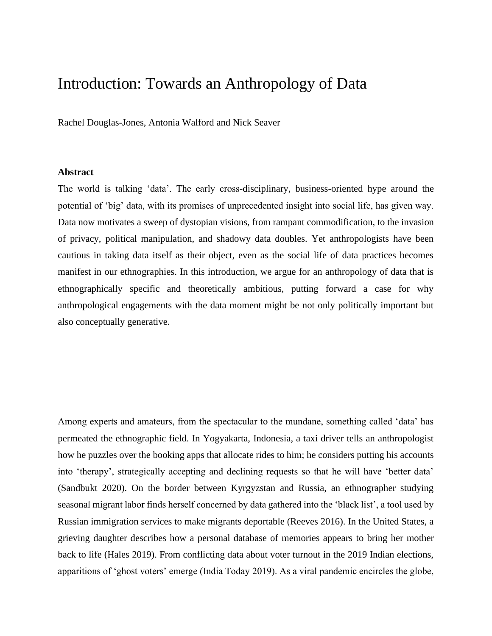# Introduction: Towards an Anthropology of Data

Rachel Douglas-Jones, Antonia Walford and Nick Seaver

#### **Abstract**

The world is talking 'data'. The early cross-disciplinary, business-oriented hype around the potential of 'big' data, with its promises of unprecedented insight into social life, has given way. Data now motivates a sweep of dystopian visions, from rampant commodification, to the invasion of privacy, political manipulation, and shadowy data doubles. Yet anthropologists have been cautious in taking data itself as their object, even as the social life of data practices becomes manifest in our ethnographies. In this introduction, we argue for an anthropology of data that is ethnographically specific and theoretically ambitious, putting forward a case for why anthropological engagements with the data moment might be not only politically important but also conceptually generative.

Among experts and amateurs, from the spectacular to the mundane, something called 'data' has permeated the ethnographic field. In Yogyakarta, Indonesia, a taxi driver tells an anthropologist how he puzzles over the booking apps that allocate rides to him; he considers putting his accounts into 'therapy', strategically accepting and declining requests so that he will have 'better data' (Sandbukt 2020). On the border between Kyrgyzstan and Russia, an ethnographer studying seasonal migrant labor finds herself concerned by data gathered into the 'black list', a tool used by Russian immigration services to make migrants deportable (Reeves 2016). In the United States, a grieving daughter describes how a personal database of memories appears to bring her mother back to life (Hales 2019). From conflicting data about voter turnout in the 2019 Indian elections, apparitions of 'ghost voters' emerge (India Today 2019). As a viral pandemic encircles the globe,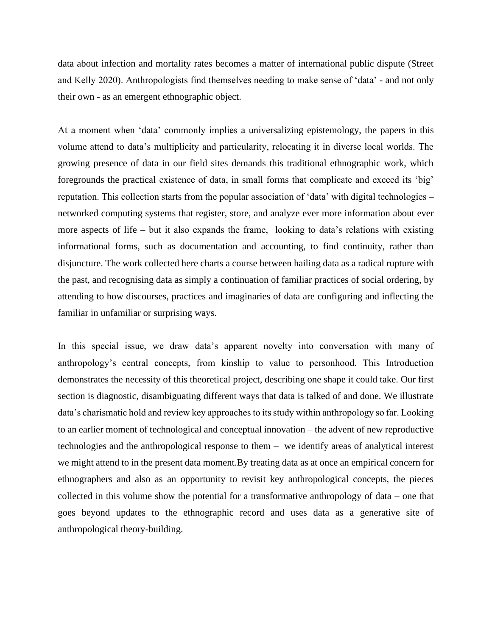data about infection and mortality rates becomes a matter of international public dispute (Street and Kelly 2020). Anthropologists find themselves needing to make sense of 'data' - and not only their own - as an emergent ethnographic object.

At a moment when 'data' commonly implies a universalizing epistemology, the papers in this volume attend to data's multiplicity and particularity, relocating it in diverse local worlds. The growing presence of data in our field sites demands this traditional ethnographic work, which foregrounds the practical existence of data, in small forms that complicate and exceed its 'big' reputation. This collection starts from the popular association of 'data' with digital technologies – networked computing systems that register, store, and analyze ever more information about ever more aspects of life – but it also expands the frame, looking to data's relations with existing informational forms, such as documentation and accounting, to find continuity, rather than disjuncture. The work collected here charts a course between hailing data as a radical rupture with the past, and recognising data as simply a continuation of familiar practices of social ordering, by attending to how discourses, practices and imaginaries of data are configuring and inflecting the familiar in unfamiliar or surprising ways.

In this special issue, we draw data's apparent novelty into conversation with many of anthropology's central concepts, from kinship to value to personhood. This Introduction demonstrates the necessity of this theoretical project, describing one shape it could take. Our first section is diagnostic, disambiguating different ways that data is talked of and done. We illustrate data's charismatic hold and review key approaches to its study within anthropology so far. Looking to an earlier moment of technological and conceptual innovation – the advent of new reproductive technologies and the anthropological response to them – we identify areas of analytical interest we might attend to in the present data moment.By treating data as at once an empirical concern for ethnographers and also as an opportunity to revisit key anthropological concepts, the pieces collected in this volume show the potential for a transformative anthropology of data – one that goes beyond updates to the ethnographic record and uses data as a generative site of anthropological theory-building.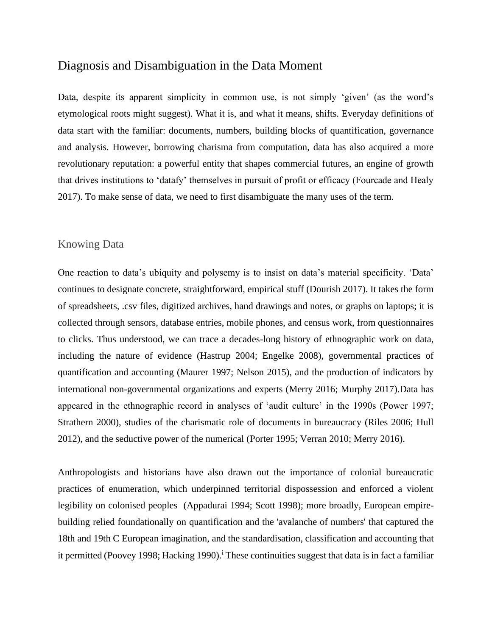# Diagnosis and Disambiguation in the Data Moment

Data, despite its apparent simplicity in common use, is not simply 'given' (as the word's etymological roots might suggest). What it is, and what it means, shifts. Everyday definitions of data start with the familiar: documents, numbers, building blocks of quantification, governance and analysis. However, borrowing charisma from computation, data has also acquired a more revolutionary reputation: a powerful entity that shapes commercial futures, an engine of growth that drives institutions to 'datafy' themselves in pursuit of profit or efficacy (Fourcade and Healy 2017). To make sense of data, we need to first disambiguate the many uses of the term.

### Knowing Data

One reaction to data's ubiquity and polysemy is to insist on data's material specificity. 'Data' continues to designate concrete, straightforward, empirical stuff (Dourish 2017). It takes the form of spreadsheets, .csv files, digitized archives, hand drawings and notes, or graphs on laptops; it is collected through sensors, database entries, mobile phones, and census work, from questionnaires to clicks. Thus understood, we can trace a decades-long history of ethnographic work on data, including the nature of evidence (Hastrup 2004; Engelke 2008), governmental practices of quantification and accounting (Maurer 1997; Nelson 2015), and the production of indicators by international non-governmental organizations and experts (Merry 2016; Murphy 2017).Data has appeared in the ethnographic record in analyses of 'audit culture' in the 1990s (Power 1997; Strathern 2000), studies of the charismatic role of documents in bureaucracy (Riles 2006; Hull 2012), and the seductive power of the numerical (Porter 1995; Verran 2010; Merry 2016).

Anthropologists and historians have also drawn out the importance of colonial bureaucratic practices of enumeration, which underpinned territorial dispossession and enforced a violent legibility on colonised peoples (Appadurai 1994; Scott 1998); more broadly, European empirebuilding relied foundationally on quantification and the 'avalanche of numbers' that captured the 18th and 19th C European imagination, and the standardisation, classification and accounting that it permitted (Poovey 1998; Hacking 1990).<sup>i</sup> These continuities suggest that data is in fact a familiar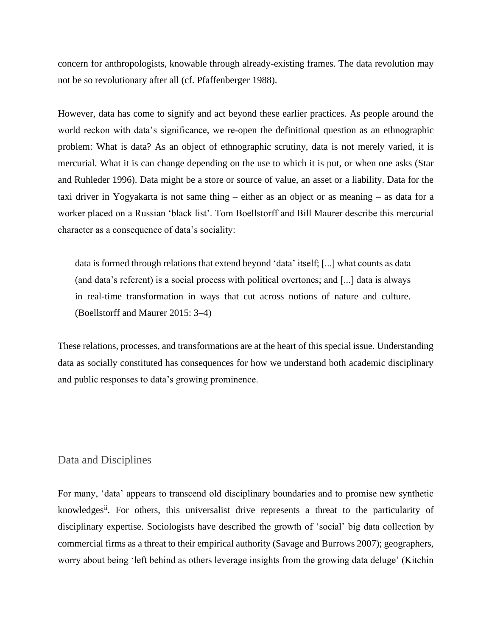concern for anthropologists, knowable through already-existing frames. The data revolution may not be so revolutionary after all (cf. Pfaffenberger 1988).

However, data has come to signify and act beyond these earlier practices. As people around the world reckon with data's significance, we re-open the definitional question as an ethnographic problem: What is data? As an object of ethnographic scrutiny, data is not merely varied, it is mercurial. What it is can change depending on the use to which it is put, or when one asks (Star and Ruhleder 1996). Data might be a store or source of value, an asset or a liability. Data for the taxi driver in Yogyakarta is not same thing – either as an object or as meaning – as data for a worker placed on a Russian 'black list'. Tom Boellstorff and Bill Maurer describe this mercurial character as a consequence of data's sociality:

data is formed through relations that extend beyond 'data' itself; [...] what counts as data (and data's referent) is a social process with political overtones; and [...] data is always in real-time transformation in ways that cut across notions of nature and culture. (Boellstorff and Maurer 2015: 3–4)

These relations, processes, and transformations are at the heart of this special issue. Understanding data as socially constituted has consequences for how we understand both academic disciplinary and public responses to data's growing prominence.

#### Data and Disciplines

For many, 'data' appears to transcend old disciplinary boundaries and to promise new synthetic knowledges<sup>ii</sup>. For others, this universalist drive represents a threat to the particularity of disciplinary expertise. Sociologists have described the growth of 'social' big data collection by commercial firms as a threat to their empirical authority (Savage and Burrows 2007); geographers, worry about being 'left behind as others leverage insights from the growing data deluge' (Kitchin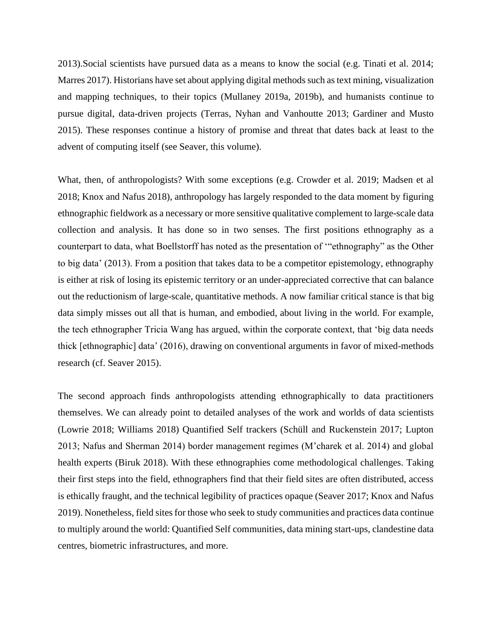2013).Social scientists have pursued data as a means to know the social (e.g. Tinati et al. 2014; Marres 2017). Historians have set about applying digital methods such as text mining, visualization and mapping techniques, to their topics (Mullaney 2019a, 2019b), and humanists continue to pursue digital, data-driven projects (Terras, Nyhan and Vanhoutte 2013; Gardiner and Musto 2015). These responses continue a history of promise and threat that dates back at least to the advent of computing itself (see Seaver, this volume).

What, then, of anthropologists? With some exceptions (e.g. Crowder et al. 2019; Madsen et al 2018; Knox and Nafus 2018), anthropology has largely responded to the data moment by figuring ethnographic fieldwork as a necessary or more sensitive qualitative complement to large-scale data collection and analysis. It has done so in two senses. The first positions ethnography as a counterpart to data, what Boellstorff has noted as the presentation of '"ethnography" as the Other to big data' (2013). From a position that takes data to be a competitor epistemology, ethnography is either at risk of losing its epistemic territory or an under-appreciated corrective that can balance out the reductionism of large-scale, quantitative methods. A now familiar critical stance is that big data simply misses out all that is human, and embodied, about living in the world. For example, the tech ethnographer Tricia Wang has argued, within the corporate context, that 'big data needs thick [ethnographic] data' (2016), drawing on conventional arguments in favor of mixed-methods research (cf. Seaver 2015).

The second approach finds anthropologists attending ethnographically to data practitioners themselves. We can already point to detailed analyses of the work and worlds of data scientists (Lowrie 2018; Williams 2018) Quantified Self trackers (Schüll and Ruckenstein 2017; Lupton 2013; Nafus and Sherman 2014) border management regimes (M'charek et al. 2014) and global health experts (Biruk 2018). With these ethnographies come methodological challenges. Taking their first steps into the field, ethnographers find that their field sites are often distributed, access is ethically fraught, and the technical legibility of practices opaque (Seaver 2017; Knox and Nafus 2019). Nonetheless, field sites for those who seek to study communities and practices data continue to multiply around the world: Quantified Self communities, data mining start-ups, clandestine data centres, biometric infrastructures, and more.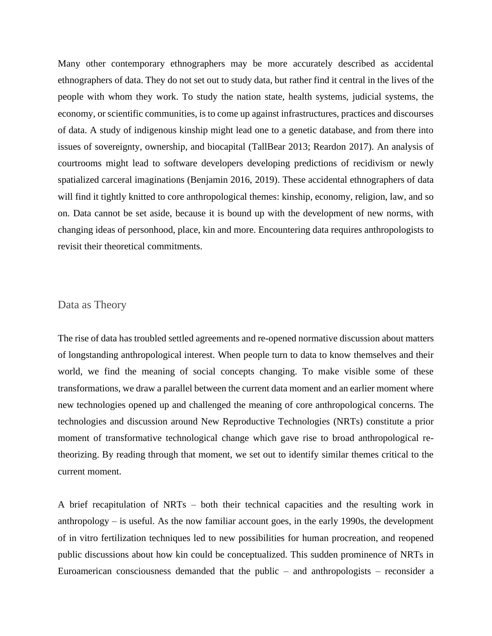Many other contemporary ethnographers may be more accurately described as accidental ethnographers of data. They do not set out to study data, but rather find it central in the lives of the people with whom they work. To study the nation state, health systems, judicial systems, the economy, or scientific communities, is to come up against infrastructures, practices and discourses of data. A study of indigenous kinship might lead one to a genetic database, and from there into issues of sovereignty, ownership, and biocapital (TallBear 2013; Reardon 2017). An analysis of courtrooms might lead to software developers developing predictions of recidivism or newly spatialized carceral imaginations (Benjamin 2016, 2019). These accidental ethnographers of data will find it tightly knitted to core anthropological themes: kinship, economy, religion, law, and so on. Data cannot be set aside, because it is bound up with the development of new norms, with changing ideas of personhood, place, kin and more. Encountering data requires anthropologists to revisit their theoretical commitments.

### Data as Theory

The rise of data has troubled settled agreements and re-opened normative discussion about matters of longstanding anthropological interest. When people turn to data to know themselves and their world, we find the meaning of social concepts changing. To make visible some of these transformations, we draw a parallel between the current data moment and an earlier moment where new technologies opened up and challenged the meaning of core anthropological concerns. The technologies and discussion around New Reproductive Technologies (NRTs) constitute a prior moment of transformative technological change which gave rise to broad anthropological retheorizing. By reading through that moment, we set out to identify similar themes critical to the current moment.

A brief recapitulation of NRTs – both their technical capacities and the resulting work in anthropology – is useful. As the now familiar account goes, in the early 1990s, the development of in vitro fertilization techniques led to new possibilities for human procreation, and reopened public discussions about how kin could be conceptualized. This sudden prominence of NRTs in Euroamerican consciousness demanded that the public – and anthropologists – reconsider a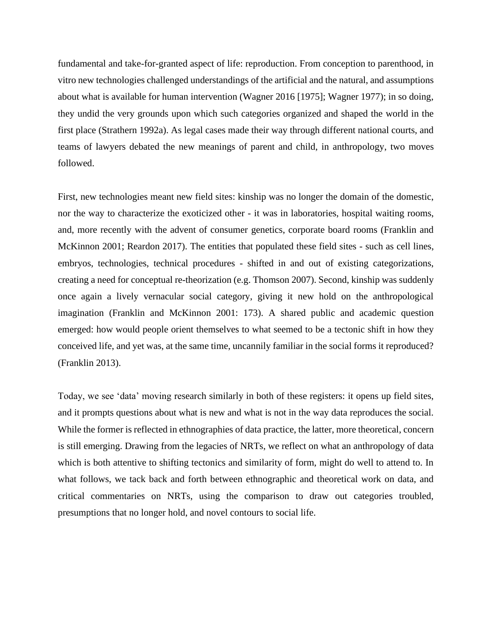fundamental and take-for-granted aspect of life: reproduction. From conception to parenthood, in vitro new technologies challenged understandings of the artificial and the natural, and assumptions about what is available for human intervention (Wagner 2016 [1975]; Wagner 1977); in so doing, they undid the very grounds upon which such categories organized and shaped the world in the first place (Strathern 1992a). As legal cases made their way through different national courts, and teams of lawyers debated the new meanings of parent and child, in anthropology, two moves followed.

First, new technologies meant new field sites: kinship was no longer the domain of the domestic, nor the way to characterize the exoticized other - it was in laboratories, hospital waiting rooms, and, more recently with the advent of consumer genetics, corporate board rooms (Franklin and McKinnon 2001; Reardon 2017). The entities that populated these field sites - such as cell lines, embryos, technologies, technical procedures - shifted in and out of existing categorizations, creating a need for conceptual re-theorization (e.g. Thomson 2007). Second, kinship was suddenly once again a lively vernacular social category, giving it new hold on the anthropological imagination (Franklin and McKinnon 2001: 173). A shared public and academic question emerged: how would people orient themselves to what seemed to be a tectonic shift in how they conceived life, and yet was, at the same time, uncannily familiar in the social forms it reproduced? (Franklin 2013).

Today, we see 'data' moving research similarly in both of these registers: it opens up field sites, and it prompts questions about what is new and what is not in the way data reproduces the social. While the former is reflected in ethnographies of data practice, the latter, more theoretical, concern is still emerging. Drawing from the legacies of NRTs, we reflect on what an anthropology of data which is both attentive to shifting tectonics and similarity of form, might do well to attend to. In what follows, we tack back and forth between ethnographic and theoretical work on data, and critical commentaries on NRTs, using the comparison to draw out categories troubled, presumptions that no longer hold, and novel contours to social life.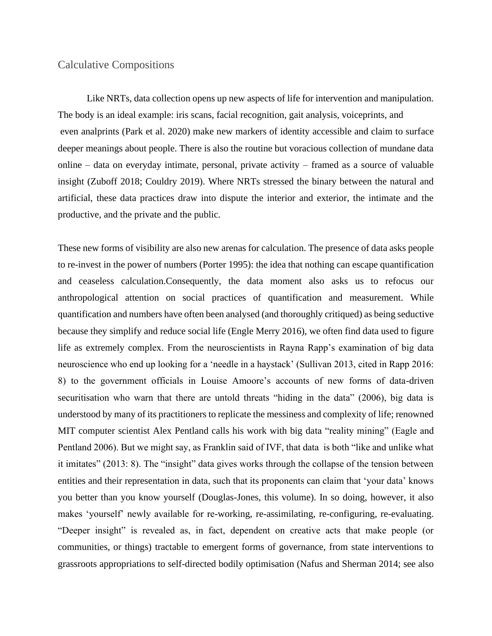### Calculative Compositions

Like NRTs, data collection opens up new aspects of life for intervention and manipulation. The body is an ideal example: iris scans, facial recognition, gait analysis, voiceprints, and even analprints (Park et al. 2020) make new markers of identity accessible and claim to surface deeper meanings about people. There is also the routine but voracious collection of mundane data online – data on everyday intimate, personal, private activity – framed as a source of valuable insight (Zuboff 2018; Couldry 2019). Where NRTs stressed the binary between the natural and artificial, these data practices draw into dispute the interior and exterior, the intimate and the productive, and the private and the public.

These new forms of visibility are also new arenas for calculation. The presence of data asks people to re-invest in the power of numbers (Porter 1995): the idea that nothing can escape quantification and ceaseless calculation.Consequently, the data moment also asks us to refocus our anthropological attention on social practices of quantification and measurement. While quantification and numbers have often been analysed (and thoroughly critiqued) as being seductive because they simplify and reduce social life (Engle Merry 2016), we often find data used to figure life as extremely complex. From the neuroscientists in Rayna Rapp's examination of big data neuroscience who end up looking for a 'needle in a haystack' (Sullivan 2013, cited in Rapp 2016: 8) to the government officials in Louise Amoore's accounts of new forms of data-driven securitisation who warn that there are untold threats "hiding in the data" (2006), big data is understood by many of its practitioners to replicate the messiness and complexity of life; renowned MIT computer scientist Alex Pentland calls his work with big data "reality mining" (Eagle and Pentland 2006). But we might say, as Franklin said of IVF, that data is both "like and unlike what it imitates" (2013: 8). The "insight" data gives works through the collapse of the tension between entities and their representation in data, such that its proponents can claim that 'your data' knows you better than you know yourself (Douglas-Jones, this volume). In so doing, however, it also makes 'yourself' newly available for re-working, re-assimilating, re-configuring, re-evaluating. "Deeper insight" is revealed as, in fact, dependent on creative acts that make people (or communities, or things) tractable to emergent forms of governance, from state interventions to grassroots appropriations to self-directed bodily optimisation (Nafus and Sherman 2014; see also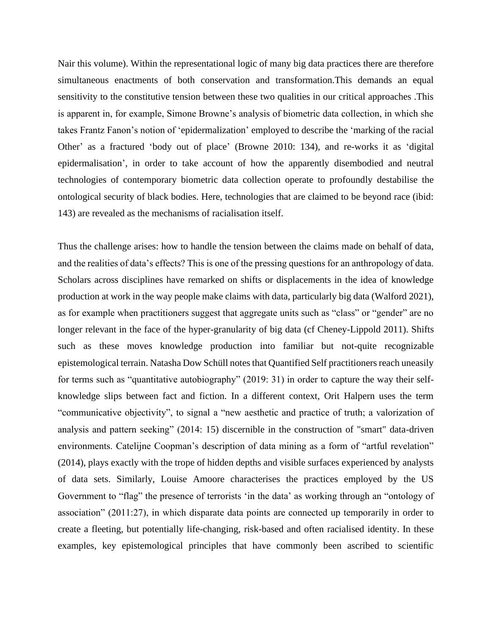Nair this volume). Within the representational logic of many big data practices there are therefore simultaneous enactments of both conservation and transformation.This demands an equal sensitivity to the constitutive tension between these two qualities in our critical approaches .This is apparent in, for example, Simone Browne's analysis of biometric data collection, in which she takes Frantz Fanon's notion of 'epidermalization' employed to describe the 'marking of the racial Other' as a fractured 'body out of place' (Browne 2010: 134), and re-works it as 'digital epidermalisation', in order to take account of how the apparently disembodied and neutral technologies of contemporary biometric data collection operate to profoundly destabilise the ontological security of black bodies. Here, technologies that are claimed to be beyond race (ibid: 143) are revealed as the mechanisms of racialisation itself.

Thus the challenge arises: how to handle the tension between the claims made on behalf of data, and the realities of data's effects? This is one of the pressing questions for an anthropology of data. Scholars across disciplines have remarked on shifts or displacements in the idea of knowledge production at work in the way people make claims with data, particularly big data (Walford 2021), as for example when practitioners suggest that aggregate units such as "class" or "gender" are no longer relevant in the face of the hyper-granularity of big data (cf Cheney-Lippold 2011). Shifts such as these moves knowledge production into familiar but not-quite recognizable epistemological terrain. Natasha Dow Schüll notes that Quantified Self practitioners reach uneasily for terms such as "quantitative autobiography" (2019: 31) in order to capture the way their selfknowledge slips between fact and fiction. In a different context, Orit Halpern uses the term "communicative objectivity", to signal a "new aesthetic and practice of truth; a valorization of analysis and pattern seeking" (2014: 15) discernible in the construction of "smart" data-driven environments. Catelijne Coopman's description of data mining as a form of "artful revelation" (2014), plays exactly with the trope of hidden depths and visible surfaces experienced by analysts of data sets. Similarly, Louise Amoore characterises the practices employed by the US Government to "flag" the presence of terrorists 'in the data' as working through an "ontology of association" (2011:27), in which disparate data points are connected up temporarily in order to create a fleeting, but potentially life-changing, risk-based and often racialised identity. In these examples, key epistemological principles that have commonly been ascribed to scientific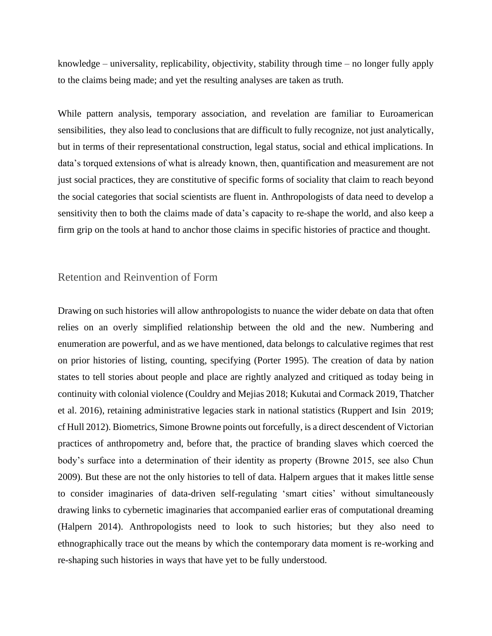knowledge – universality, replicability, objectivity, stability through time – no longer fully apply to the claims being made; and yet the resulting analyses are taken as truth.

While pattern analysis, temporary association, and revelation are familiar to Euroamerican sensibilities, they also lead to conclusions that are difficult to fully recognize, not just analytically, but in terms of their representational construction, legal status, social and ethical implications. In data's torqued extensions of what is already known, then, quantification and measurement are not just social practices, they are constitutive of specific forms of sociality that claim to reach beyond the social categories that social scientists are fluent in. Anthropologists of data need to develop a sensitivity then to both the claims made of data's capacity to re-shape the world, and also keep a firm grip on the tools at hand to anchor those claims in specific histories of practice and thought.

### Retention and Reinvention of Form

Drawing on such histories will allow anthropologists to nuance the wider debate on data that often relies on an overly simplified relationship between the old and the new. Numbering and enumeration are powerful, and as we have mentioned, data belongs to calculative regimes that rest on prior histories of listing, counting, specifying (Porter 1995). The creation of data by nation states to tell stories about people and place are rightly analyzed and critiqued as today being in continuity with colonial violence (Couldry and Mejias 2018; Kukutai and Cormack 2019, Thatcher et al. 2016), retaining administrative legacies stark in national statistics (Ruppert and Isin 2019; cf Hull 2012). Biometrics, Simone Browne points out forcefully, is a direct descendent of Victorian practices of anthropometry and, before that, the practice of branding slaves which coerced the body's surface into a determination of their identity as property (Browne 2015, see also Chun 2009). But these are not the only histories to tell of data. Halpern argues that it makes little sense to consider imaginaries of data-driven self-regulating 'smart cities' without simultaneously drawing links to cybernetic imaginaries that accompanied earlier eras of computational dreaming (Halpern 2014). Anthropologists need to look to such histories; but they also need to ethnographically trace out the means by which the contemporary data moment is re-working and re-shaping such histories in ways that have yet to be fully understood.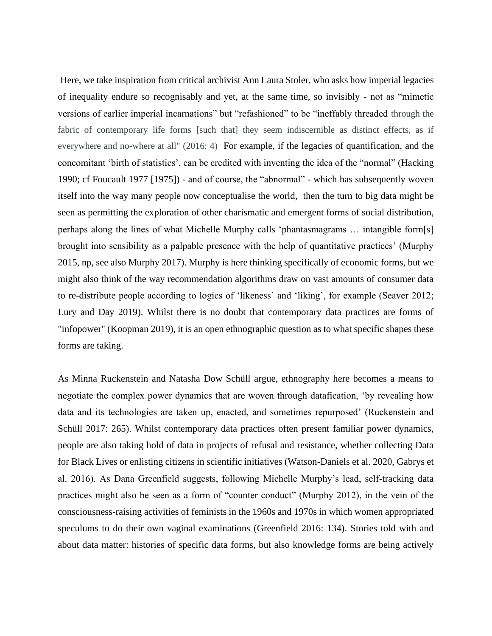Here, we take inspiration from critical archivist Ann Laura Stoler, who asks how imperial legacies of inequality endure so recognisably and yet, at the same time, so invisibly - not as "mimetic versions of earlier imperial incarnations" but "refashioned" to be "ineffably threaded through the fabric of contemporary life forms [such that] they seem indiscernible as distinct effects, as if everywhere and no-where at all" (2016: 4) For example, if the legacies of quantification, and the concomitant 'birth of statistics', can be credited with inventing the idea of the "normal" (Hacking 1990; cf Foucault 1977 [1975]) - and of course, the "abnormal" - which has subsequently woven itself into the way many people now conceptualise the world, then the turn to big data might be seen as permitting the exploration of other charismatic and emergent forms of social distribution, perhaps along the lines of what Michelle Murphy calls 'phantasmagrams … intangible form[s] brought into sensibility as a palpable presence with the help of quantitative practices' (Murphy 2015, np, see also Murphy 2017). Murphy is here thinking specifically of economic forms, but we might also think of the way recommendation algorithms draw on vast amounts of consumer data to re-distribute people according to logics of 'likeness' and 'liking', for example (Seaver 2012; Lury and Day 2019). Whilst there is no doubt that contemporary data practices are forms of "infopower" (Koopman 2019), it is an open ethnographic question as to what specific shapes these forms are taking.

As Minna Ruckenstein and Natasha Dow Schüll argue, ethnography here becomes a means to negotiate the complex power dynamics that are woven through datafication, 'by revealing how data and its technologies are taken up, enacted, and sometimes repurposed' (Ruckenstein and Schüll 2017: 265). Whilst contemporary data practices often present familiar power dynamics, people are also taking hold of data in projects of refusal and resistance, whether collecting Data for Black Lives or enlisting citizens in scientific initiatives (Watson-Daniels et al. 2020, Gabrys et al. 2016). As Dana Greenfield suggests, following Michelle Murphy's lead, self-tracking data practices might also be seen as a form of "counter conduct" (Murphy 2012), in the vein of the consciousness-raising activities of feminists in the 1960s and 1970s in which women appropriated speculums to do their own vaginal examinations (Greenfield 2016: 134). Stories told with and about data matter: histories of specific data forms, but also knowledge forms are being actively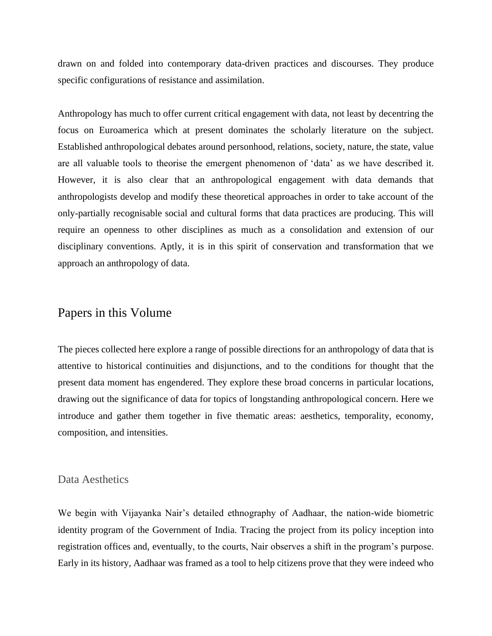drawn on and folded into contemporary data-driven practices and discourses. They produce specific configurations of resistance and assimilation.

Anthropology has much to offer current critical engagement with data, not least by decentring the focus on Euroamerica which at present dominates the scholarly literature on the subject. Established anthropological debates around personhood, relations, society, nature, the state, value are all valuable tools to theorise the emergent phenomenon of 'data' as we have described it. However, it is also clear that an anthropological engagement with data demands that anthropologists develop and modify these theoretical approaches in order to take account of the only-partially recognisable social and cultural forms that data practices are producing. This will require an openness to other disciplines as much as a consolidation and extension of our disciplinary conventions. Aptly, it is in this spirit of conservation and transformation that we approach an anthropology of data.

# Papers in this Volume

The pieces collected here explore a range of possible directions for an anthropology of data that is attentive to historical continuities and disjunctions, and to the conditions for thought that the present data moment has engendered. They explore these broad concerns in particular locations, drawing out the significance of data for topics of longstanding anthropological concern. Here we introduce and gather them together in five thematic areas: aesthetics, temporality, economy, composition, and intensities.

#### Data Aesthetics

We begin with Vijayanka Nair's detailed ethnography of Aadhaar, the nation-wide biometric identity program of the Government of India. Tracing the project from its policy inception into registration offices and, eventually, to the courts, Nair observes a shift in the program's purpose. Early in its history, Aadhaar was framed as a tool to help citizens prove that they were indeed who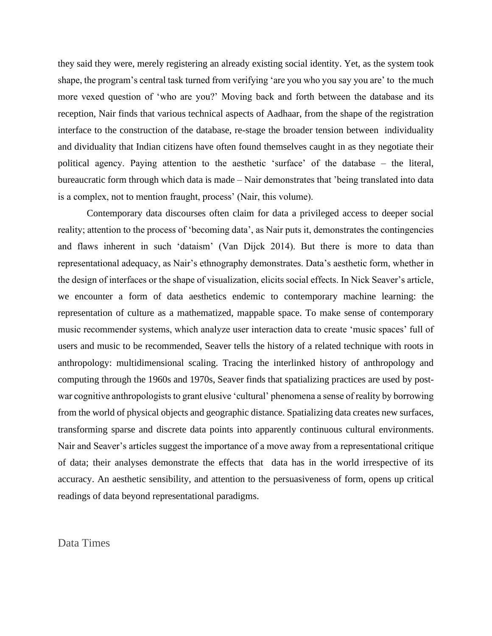they said they were, merely registering an already existing social identity. Yet, as the system took shape, the program's central task turned from verifying 'are you who you say you are' to the much more vexed question of 'who are you?' Moving back and forth between the database and its reception, Nair finds that various technical aspects of Aadhaar, from the shape of the registration interface to the construction of the database, re-stage the broader tension between individuality and dividuality that Indian citizens have often found themselves caught in as they negotiate their political agency. Paying attention to the aesthetic 'surface' of the database – the literal, bureaucratic form through which data is made – Nair demonstrates that 'being translated into data is a complex, not to mention fraught, process' (Nair, this volume).

Contemporary data discourses often claim for data a privileged access to deeper social reality; attention to the process of 'becoming data', as Nair puts it, demonstrates the contingencies and flaws inherent in such 'dataism' (Van Dijck 2014). But there is more to data than representational adequacy, as Nair's ethnography demonstrates. Data's aesthetic form, whether in the design of interfaces or the shape of visualization, elicits social effects. In Nick Seaver's article, we encounter a form of data aesthetics endemic to contemporary machine learning: the representation of culture as a mathematized, mappable space. To make sense of contemporary music recommender systems, which analyze user interaction data to create 'music spaces' full of users and music to be recommended, Seaver tells the history of a related technique with roots in anthropology: multidimensional scaling. Tracing the interlinked history of anthropology and computing through the 1960s and 1970s, Seaver finds that spatializing practices are used by postwar cognitive anthropologists to grant elusive 'cultural' phenomena a sense of reality by borrowing from the world of physical objects and geographic distance. Spatializing data creates new surfaces, transforming sparse and discrete data points into apparently continuous cultural environments. Nair and Seaver's articles suggest the importance of a move away from a representational critique of data; their analyses demonstrate the effects that data has in the world irrespective of its accuracy. An aesthetic sensibility, and attention to the persuasiveness of form, opens up critical readings of data beyond representational paradigms.

Data Times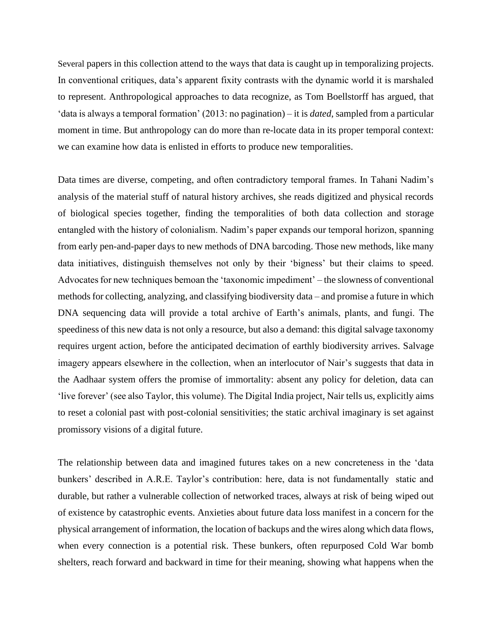Several papers in this collection attend to the ways that data is caught up in temporalizing projects. In conventional critiques, data's apparent fixity contrasts with the dynamic world it is marshaled to represent. Anthropological approaches to data recognize, as Tom Boellstorff has argued, that 'data is always a temporal formation' (2013: no pagination) – it is *dated*, sampled from a particular moment in time. But anthropology can do more than re-locate data in its proper temporal context: we can examine how data is enlisted in efforts to produce new temporalities.

Data times are diverse, competing, and often contradictory temporal frames. In Tahani Nadim's analysis of the material stuff of natural history archives, she reads digitized and physical records of biological species together, finding the temporalities of both data collection and storage entangled with the history of colonialism. Nadim's paper expands our temporal horizon, spanning from early pen-and-paper days to new methods of DNA barcoding. Those new methods, like many data initiatives, distinguish themselves not only by their 'bigness' but their claims to speed. Advocates for new techniques bemoan the 'taxonomic impediment' – the slowness of conventional methods for collecting, analyzing, and classifying biodiversity data – and promise a future in which DNA sequencing data will provide a total archive of Earth's animals, plants, and fungi. The speediness of this new data is not only a resource, but also a demand: this digital salvage taxonomy requires urgent action, before the anticipated decimation of earthly biodiversity arrives. Salvage imagery appears elsewhere in the collection, when an interlocutor of Nair's suggests that data in the Aadhaar system offers the promise of immortality: absent any policy for deletion, data can 'live forever' (see also Taylor, this volume). The Digital India project, Nair tells us, explicitly aims to reset a colonial past with post-colonial sensitivities; the static archival imaginary is set against promissory visions of a digital future.

The relationship between data and imagined futures takes on a new concreteness in the 'data bunkers' described in A.R.E. Taylor's contribution: here, data is not fundamentally static and durable, but rather a vulnerable collection of networked traces, always at risk of being wiped out of existence by catastrophic events. Anxieties about future data loss manifest in a concern for the physical arrangement of information, the location of backups and the wires along which data flows, when every connection is a potential risk. These bunkers, often repurposed Cold War bomb shelters, reach forward and backward in time for their meaning, showing what happens when the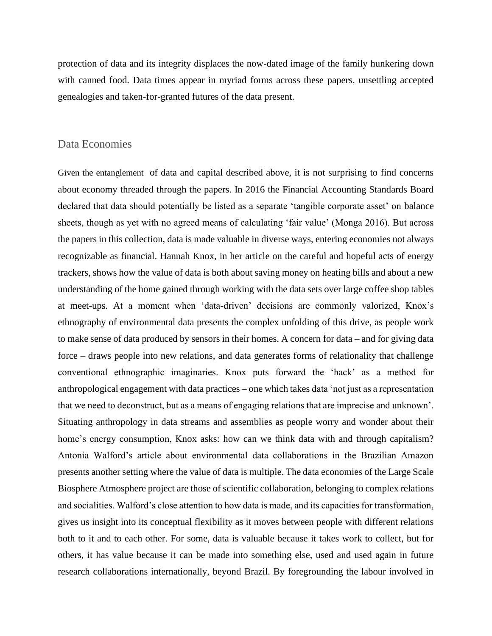protection of data and its integrity displaces the now-dated image of the family hunkering down with canned food. Data times appear in myriad forms across these papers, unsettling accepted genealogies and taken-for-granted futures of the data present.

### Data Economies

Given the entanglement of data and capital described above, it is not surprising to find concerns about economy threaded through the papers. In 2016 the Financial Accounting Standards Board declared that data should potentially be listed as a separate 'tangible corporate asset' on balance sheets, though as yet with no agreed means of calculating 'fair value' (Monga 2016). But across the papers in this collection, data is made valuable in diverse ways, entering economies not always recognizable as financial. Hannah Knox, in her article on the careful and hopeful acts of energy trackers, shows how the value of data is both about saving money on heating bills and about a new understanding of the home gained through working with the data sets over large coffee shop tables at meet-ups. At a moment when 'data-driven' decisions are commonly valorized, Knox's ethnography of environmental data presents the complex unfolding of this drive, as people work to make sense of data produced by sensors in their homes. A concern for data – and for giving data force – draws people into new relations, and data generates forms of relationality that challenge conventional ethnographic imaginaries. Knox puts forward the 'hack' as a method for anthropological engagement with data practices – one which takes data 'not just as a representation that we need to deconstruct, but as a means of engaging relations that are imprecise and unknown'. Situating anthropology in data streams and assemblies as people worry and wonder about their home's energy consumption, Knox asks: how can we think data with and through capitalism? Antonia Walford's article about environmental data collaborations in the Brazilian Amazon presents another setting where the value of data is multiple. The data economies of the Large Scale Biosphere Atmosphere project are those of scientific collaboration, belonging to complex relations and socialities. Walford's close attention to how data is made, and its capacities for transformation, gives us insight into its conceptual flexibility as it moves between people with different relations both to it and to each other. For some, data is valuable because it takes work to collect, but for others, it has value because it can be made into something else, used and used again in future research collaborations internationally, beyond Brazil. By foregrounding the labour involved in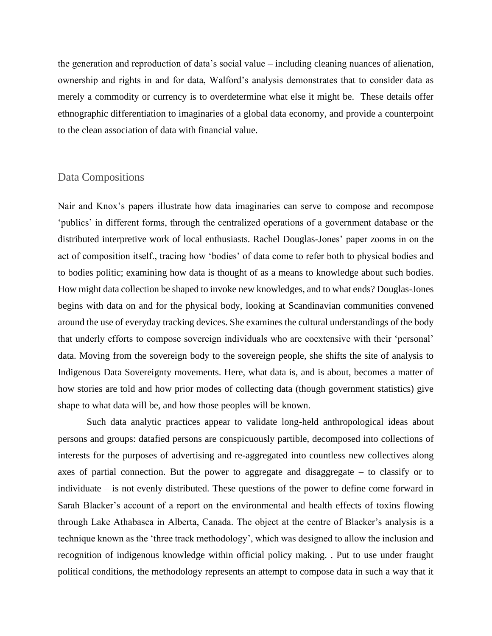the generation and reproduction of data's social value – including cleaning nuances of alienation, ownership and rights in and for data, Walford's analysis demonstrates that to consider data as merely a commodity or currency is to overdetermine what else it might be. These details offer ethnographic differentiation to imaginaries of a global data economy, and provide a counterpoint to the clean association of data with financial value.

### Data Compositions

Nair and Knox's papers illustrate how data imaginaries can serve to compose and recompose 'publics' in different forms, through the centralized operations of a government database or the distributed interpretive work of local enthusiasts. Rachel Douglas-Jones' paper zooms in on the act of composition itself., tracing how 'bodies' of data come to refer both to physical bodies and to bodies politic; examining how data is thought of as a means to knowledge about such bodies. How might data collection be shaped to invoke new knowledges, and to what ends? Douglas-Jones begins with data on and for the physical body, looking at Scandinavian communities convened around the use of everyday tracking devices. She examines the cultural understandings of the body that underly efforts to compose sovereign individuals who are coextensive with their 'personal' data. Moving from the sovereign body to the sovereign people, she shifts the site of analysis to Indigenous Data Sovereignty movements. Here, what data is, and is about, becomes a matter of how stories are told and how prior modes of collecting data (though government statistics) give shape to what data will be, and how those peoples will be known.

Such data analytic practices appear to validate long-held anthropological ideas about persons and groups: datafied persons are conspicuously partible, decomposed into collections of interests for the purposes of advertising and re-aggregated into countless new collectives along axes of partial connection. But the power to aggregate and disaggregate – to classify or to individuate – is not evenly distributed. These questions of the power to define come forward in Sarah Blacker's account of a report on the environmental and health effects of toxins flowing through Lake Athabasca in Alberta, Canada. The object at the centre of Blacker's analysis is a technique known as the 'three track methodology', which was designed to allow the inclusion and recognition of indigenous knowledge within official policy making. . Put to use under fraught political conditions, the methodology represents an attempt to compose data in such a way that it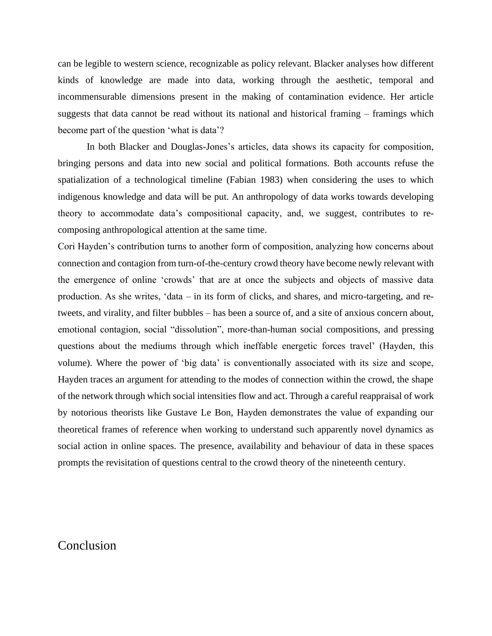can be legible to western science, recognizable as policy relevant. Blacker analyses how different kinds of knowledge are made into data, working through the aesthetic, temporal and incommensurable dimensions present in the making of contamination evidence. Her article suggests that data cannot be read without its national and historical framing – framings which become part of the question 'what is data'?

 In both Blacker and Douglas-Jones's articles, data shows its capacity for composition, bringing persons and data into new social and political formations. Both accounts refuse the spatialization of a technological timeline (Fabian 1983) when considering the uses to which indigenous knowledge and data will be put. An anthropology of data works towards developing theory to accommodate data's compositional capacity, and, we suggest, contributes to recomposing anthropological attention at the same time.

Cori Hayden's contribution turns to another form of composition, analyzing how concerns about connection and contagion from turn-of-the-century crowd theory have become newly relevant with the emergence of online 'crowds' that are at once the subjects and objects of massive data production. As she writes, 'data – in its form of clicks, and shares, and micro-targeting, and retweets, and virality, and filter bubbles – has been a source of, and a site of anxious concern about, emotional contagion, social "dissolution", more-than-human social compositions, and pressing questions about the mediums through which ineffable energetic forces travel' (Hayden, this volume). Where the power of 'big data' is conventionally associated with its size and scope, Hayden traces an argument for attending to the modes of connection within the crowd, the shape of the network through which social intensities flow and act. Through a careful reappraisal of work by notorious theorists like Gustave Le Bon, Hayden demonstrates the value of expanding our theoretical frames of reference when working to understand such apparently novel dynamics as social action in online spaces. The presence, availability and behaviour of data in these spaces prompts the revisitation of questions central to the crowd theory of the nineteenth century.

### Conclusion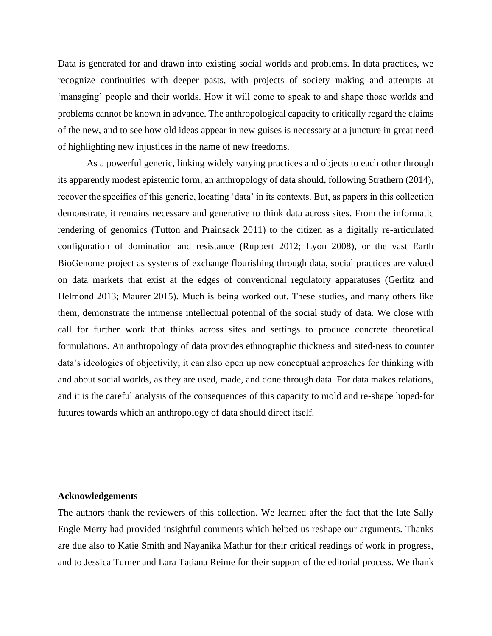Data is generated for and drawn into existing social worlds and problems. In data practices, we recognize continuities with deeper pasts, with projects of society making and attempts at 'managing' people and their worlds. How it will come to speak to and shape those worlds and problems cannot be known in advance. The anthropological capacity to critically regard the claims of the new, and to see how old ideas appear in new guises is necessary at a juncture in great need of highlighting new injustices in the name of new freedoms.

As a powerful generic, linking widely varying practices and objects to each other through its apparently modest epistemic form, an anthropology of data should, following Strathern (2014), recover the specifics of this generic, locating 'data' in its contexts. But, as papers in this collection demonstrate, it remains necessary and generative to think data across sites. From the informatic rendering of genomics (Tutton and Prainsack 2011) to the citizen as a digitally re-articulated configuration of domination and resistance (Ruppert 2012; Lyon 2008), or the vast Earth BioGenome project as systems of exchange flourishing through data, social practices are valued on data markets that exist at the edges of conventional regulatory apparatuses (Gerlitz and Helmond 2013; Maurer 2015). Much is being worked out. These studies, and many others like them, demonstrate the immense intellectual potential of the social study of data. We close with call for further work that thinks across sites and settings to produce concrete theoretical formulations. An anthropology of data provides ethnographic thickness and sited-ness to counter data's ideologies of objectivity; it can also open up new conceptual approaches for thinking with and about social worlds, as they are used, made, and done through data. For data makes relations, and it is the careful analysis of the consequences of this capacity to mold and re-shape hoped-for futures towards which an anthropology of data should direct itself.

### **Acknowledgements**

The authors thank the reviewers of this collection. We learned after the fact that the late Sally Engle Merry had provided insightful comments which helped us reshape our arguments. Thanks are due also to Katie Smith and Nayanika Mathur for their critical readings of work in progress, and to Jessica Turner and Lara Tatiana Reime for their support of the editorial process. We thank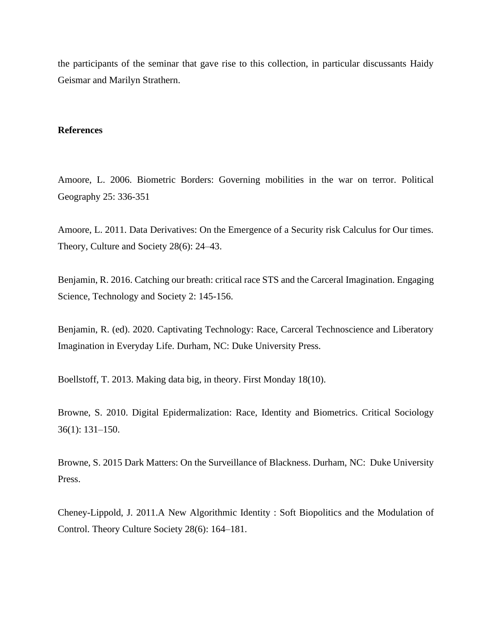the participants of the seminar that gave rise to this collection, in particular discussants Haidy Geismar and Marilyn Strathern.

#### **References**

Amoore, L. 2006. Biometric Borders: Governing mobilities in the war on terror. Political Geography 25: 336-351

Amoore, L. 2011. Data Derivatives: On the Emergence of a Security risk Calculus for Our times. Theory, Culture and Society 28(6): 24–43.

Benjamin, R. 2016. Catching our breath: critical race STS and the Carceral Imagination. Engaging Science, Technology and Society 2: 145-156.

Benjamin, R. (ed). 2020. Captivating Technology: Race, Carceral Technoscience and Liberatory Imagination in Everyday Life. Durham, NC: Duke University Press.

Boellstoff, T. 2013. Making data big, in theory. First Monday 18(10).

Browne, S. 2010. Digital Epidermalization: Race, Identity and Biometrics. Critical Sociology 36(1): 131–150.

Browne, S. 2015 Dark Matters: On the Surveillance of Blackness. Durham, NC: Duke University Press.

Cheney-Lippold, J. 2011.A New Algorithmic Identity : Soft Biopolitics and the Modulation of Control. Theory Culture Society 28(6): 164–181.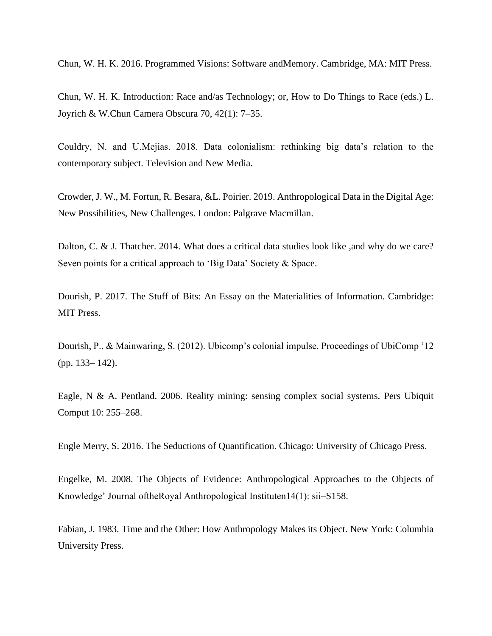Chun, W. H. K. 2016. Programmed Visions: Software andMemory. Cambridge, MA: MIT Press.

Chun, W. H. K. Introduction: Race and/as Technology; or, How to Do Things to Race (eds.) L. Joyrich & W.Chun Camera Obscura 70, 42(1): 7–35.

Couldry, N. and U.Mejias. 2018. Data colonialism: rethinking big data's relation to the contemporary subject. Television and New Media.

Crowder, J. W., M. Fortun, R. Besara, &L. Poirier. 2019. Anthropological Data in the Digital Age: New Possibilities, New Challenges. London: Palgrave Macmillan.

Dalton, C. & J. Thatcher. 2014. What does a critical data studies look like ,and why do we care? Seven points for a critical approach to 'Big Data' Society & Space.

Dourish, P. 2017. The Stuff of Bits: An Essay on the Materialities of Information. Cambridge: MIT Press.

Dourish, P., & Mainwaring, S. (2012). Ubicomp's colonial impulse. Proceedings of UbiComp '12 (pp. 133– 142).

Eagle, N & A. Pentland. 2006. Reality mining: sensing complex social systems. Pers Ubiquit Comput 10: 255–268.

Engle Merry, S. 2016. The Seductions of Quantification. Chicago: University of Chicago Press.

Engelke, M. 2008. The Objects of Evidence: Anthropological Approaches to the Objects of Knowledge' Journal oftheRoyal Anthropological Instituten14(1): sii–S158.

Fabian, J. 1983. Time and the Other: How Anthropology Makes its Object. New York: Columbia University Press.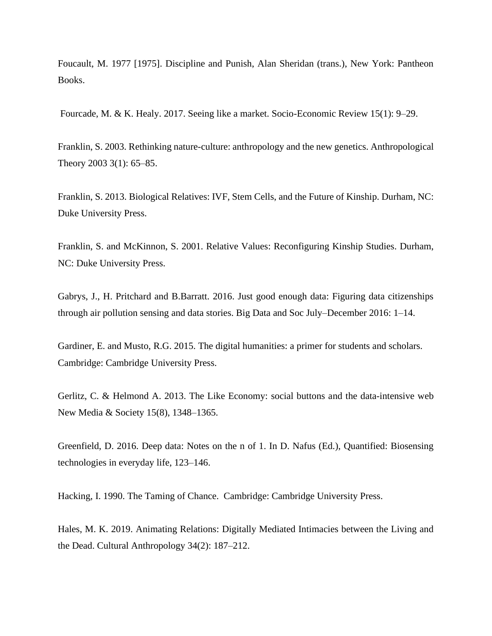Foucault, M. 1977 [1975]. Discipline and Punish, Alan Sheridan (trans.), New York: Pantheon Books.

Fourcade, M. & K. Healy. 2017. Seeing like a market. Socio-Economic Review 15(1): 9–29.

Franklin, S. 2003. Rethinking nature-culture: anthropology and the new genetics. Anthropological Theory 2003 3(1): 65–85.

Franklin, S. 2013. Biological Relatives: IVF, Stem Cells, and the Future of Kinship. Durham, NC: Duke University Press.

Franklin, S. and McKinnon, S. 2001. Relative Values: Reconfiguring Kinship Studies. Durham, NC: Duke University Press.

Gabrys, J., H. Pritchard and B.Barratt. 2016. Just good enough data: Figuring data citizenships through air pollution sensing and data stories. Big Data and Soc July–December 2016: 1–14.

Gardiner, E. and Musto, R.G. 2015. The digital humanities: a primer for students and scholars. Cambridge: Cambridge University Press.

Gerlitz, C. & Helmond A. 2013. The Like Economy: social buttons and the data-intensive web New Media & Society 15(8), 1348–1365.

Greenfield, D. 2016. Deep data: Notes on the n of 1. In D. Nafus (Ed.), Quantified: Biosensing technologies in everyday life, 123–146.

Hacking, I. 1990. The Taming of Chance. Cambridge: Cambridge University Press.

Hales, M. K. 2019. Animating Relations: Digitally Mediated Intimacies between the Living and the Dead. Cultural Anthropology 34(2): 187–212.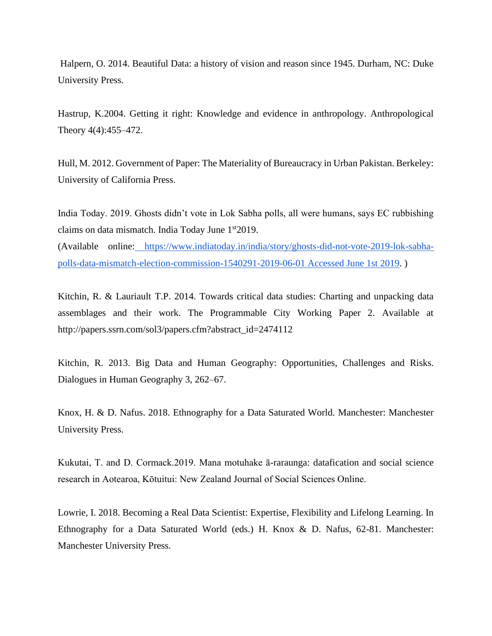Halpern, O. 2014. Beautiful Data: a history of vision and reason since 1945. Durham, NC: Duke University Press.

Hastrup, K.2004. Getting it right: Knowledge and evidence in anthropology. Anthropological Theory 4(4):455–472.

Hull, M. 2012. Government of Paper: The Materiality of Bureaucracy in Urban Pakistan. Berkeley: University of California Press.

India Today. 2019. Ghosts didn't vote in Lok Sabha polls, all were humans, says EC rubbishing claims on data mismatch. India Today June 1<sup>st</sup>2019.

(Available online: [https://www.indiatoday.in/india/story/ghosts-did-not-vote-2019-lok-sabha](https://www.indiatoday.in/india/story/ghosts-did-not-vote-2019-lok-sabha-polls-data-mismatch-election-commission-1540291-2019-06-01%252520Accessed%252520June%2525201st%2525202019)[polls-data-mismatch-election-commission-1540291-2019-06-01 Accessed June 1st 2019.](https://www.indiatoday.in/india/story/ghosts-did-not-vote-2019-lok-sabha-polls-data-mismatch-election-commission-1540291-2019-06-01%252520Accessed%252520June%2525201st%2525202019) )

Kitchin, R. & Lauriault T.P. 2014. Towards critical data studies: Charting and unpacking data assemblages and their work. The Programmable City Working Paper 2. Available at http://papers.ssrn.com/sol3/papers.cfm?abstract\_id=2474112

Kitchin, R. 2013. Big Data and Human Geography: Opportunities, Challenges and Risks. Dialogues in Human Geography 3, 262–67.

Knox, H. & D. Nafus. 2018. Ethnography for a Data Saturated World. Manchester: Manchester University Press.

Kukutai, T. and D. Cormack.2019. Mana motuhake ā-raraunga: datafication and social science research in Aotearoa, Kōtuitui: New Zealand Journal of Social Sciences Online.

Lowrie, I. 2018. Becoming a Real Data Scientist: Expertise, Flexibility and Lifelong Learning. In Ethnography for a Data Saturated World (eds.) H. Knox & D. Nafus, 62-81. Manchester: Manchester University Press.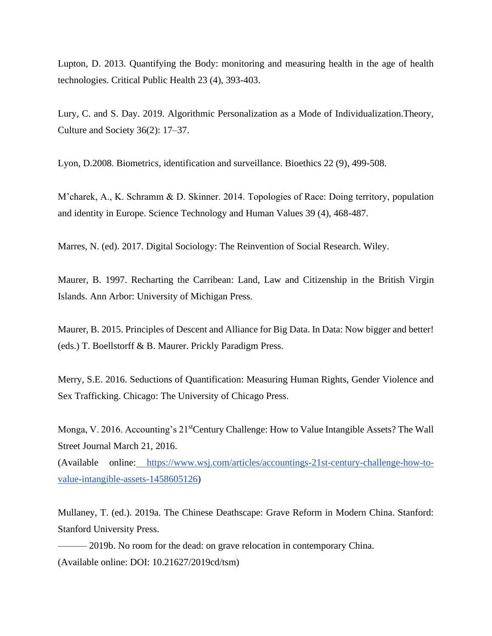Lupton, D. 2013. Quantifying the Body: monitoring and measuring health in the age of health technologies. Critical Public Health 23 (4), 393-403.

Lury, C. and S. Day. 2019. Algorithmic Personalization as a Mode of Individualization.Theory, Culture and Society 36(2): 17–37.

Lyon, D.2008. Biometrics, identification and surveillance. Bioethics 22 (9), 499-508.

M'charek, A., K. Schramm & D. Skinner. 2014. Topologies of Race: Doing territory, population and identity in Europe. Science Technology and Human Values 39 (4), 468-487.

Marres, N. (ed). 2017. Digital Sociology: The Reinvention of Social Research. Wiley.

Maurer, B. 1997. Recharting the Carribean: Land, Law and Citizenship in the British Virgin Islands. Ann Arbor: University of Michigan Press.

Maurer, B. 2015. Principles of Descent and Alliance for Big Data. In Data: Now bigger and better! (eds.) T. Boellstorff & B. Maurer. Prickly Paradigm Press.

Merry, S.E. 2016. Seductions of Quantification: Measuring Human Rights, Gender Violence and Sex Trafficking. Chicago: The University of Chicago Press.

Monga, V. 2016. Accounting's 21<sup>st</sup>Century Challenge: How to Value Intangible Assets? The Wall Street Journal March 21, 2016.

(Available online: [https://www.wsj.com/articles/accountings-21st-century-challenge-how-to](https://www.wsj.com/articles/accountings-21st-century-challenge-how-to-value-intangible-assets-1458605126)[value-intangible-assets-1458605126\)](https://www.wsj.com/articles/accountings-21st-century-challenge-how-to-value-intangible-assets-1458605126)

Mullaney, T. (ed.). 2019a. The Chinese Deathscape: Grave Reform in Modern China. Stanford: Stanford University Press.

—— 2019b. No room for the dead: on grave relocation in contemporary China. (Available online: DOI: 10.21627/2019cd/tsm)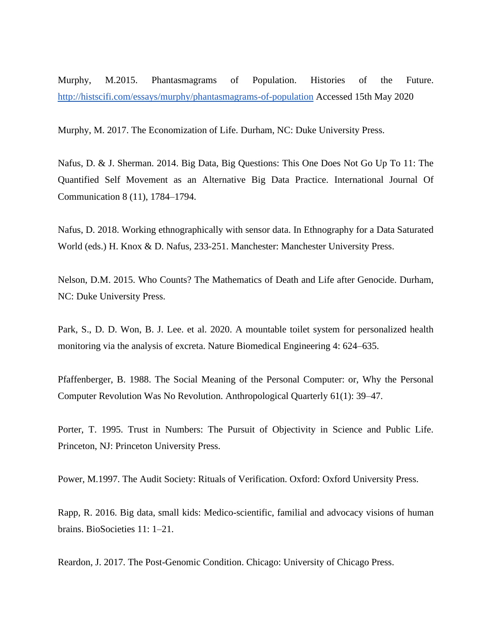Murphy, M.2015. Phantasmagrams of Population. Histories of the Future[.](http://histscifi.com/essays/murphy/phantasmagrams-of-population) <http://histscifi.com/essays/murphy/phantasmagrams-of-population> Accessed 15th May 2020

Murphy, M. 2017. The Economization of Life. Durham, NC: Duke University Press.

Nafus, D. & J. Sherman. 2014. Big Data, Big Questions: This One Does Not Go Up To 11: The Quantified Self Movement as an Alternative Big Data Practice. International Journal Of Communication 8 (11), 1784–1794.

Nafus, D. 2018. Working ethnographically with sensor data. In Ethnography for a Data Saturated World (eds.) H. Knox & D. Nafus, 233-251. Manchester: Manchester University Press.

Nelson, D.M. 2015. Who Counts? The Mathematics of Death and Life after Genocide. Durham, NC: Duke University Press.

Park, S., D. D. Won, B. J. Lee. et al. 2020. A mountable toilet system for personalized health monitoring via the analysis of excreta. Nature Biomedical Engineering 4: 624–635.

Pfaffenberger, B. 1988. The Social Meaning of the Personal Computer: or, Why the Personal Computer Revolution Was No Revolution. Anthropological Quarterly 61(1): 39–47.

Porter, T. 1995. Trust in Numbers: The Pursuit of Objectivity in Science and Public Life. Princeton, NJ: Princeton University Press.

Power, M.1997. The Audit Society: Rituals of Verification. Oxford: Oxford University Press.

Rapp, R. 2016. Big data, small kids: Medico-scientific, familial and advocacy visions of human brains. BioSocieties 11: 1–21.

Reardon, J. 2017. The Post-Genomic Condition. Chicago: University of Chicago Press.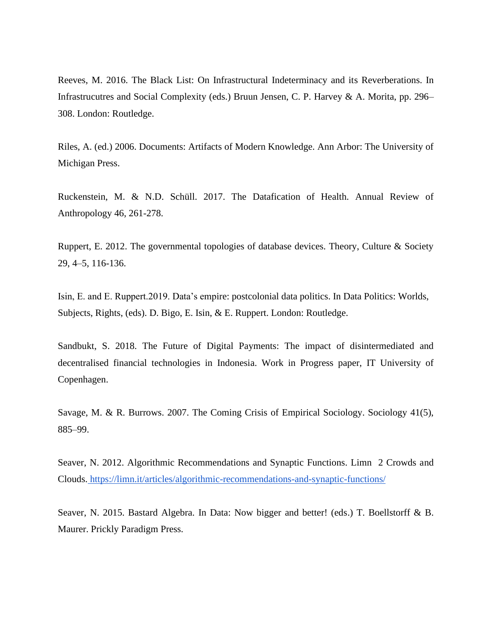Reeves, M. 2016. The Black List: On Infrastructural Indeterminacy and its Reverberations. In Infrastrucutres and Social Complexity (eds.) Bruun Jensen, C. P. Harvey & A. Morita, pp. 296– 308. London: Routledge.

Riles, A. (ed.) 2006. Documents: Artifacts of Modern Knowledge. Ann Arbor: The University of Michigan Press.

Ruckenstein, M. & N.D. Schüll. 2017. The Datafication of Health. Annual Review of Anthropology 46, 261-278.

Ruppert, E. 2012. The governmental topologies of database devices. Theory, Culture & Society 29, 4–5, 116-136.

Isin, E. and E. Ruppert.2019. Data's empire: postcolonial data politics. In Data Politics: Worlds, Subjects, Rights, (eds). D. Bigo, E. Isin, & E. Ruppert. London: Routledge.

Sandbukt, S. 2018. The Future of Digital Payments: The impact of disintermediated and decentralised financial technologies in Indonesia. Work in Progress paper, IT University of Copenhagen.

Savage, M. & R. Burrows. 2007. The Coming Crisis of Empirical Sociology. Sociology 41(5), 885–99.

Seaver, N. 2012. Algorithmic Recommendations and Synaptic Functions. Limn 2 Crowds and Clouds. <https://limn.it/articles/algorithmic-recommendations-and-synaptic-functions/>

Seaver, N. 2015. Bastard Algebra. In Data: Now bigger and better! (eds.) T. Boellstorff & B. Maurer. Prickly Paradigm Press.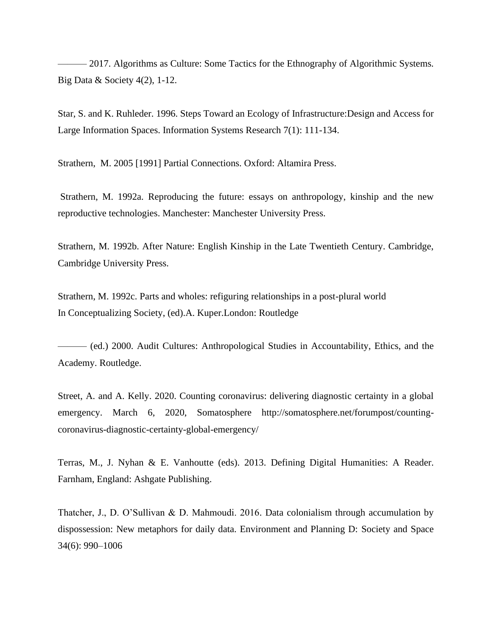- 2017. Algorithms as Culture: Some Tactics for the Ethnography of Algorithmic Systems. Big Data  $&$  Society 4(2), 1-12.

Star, S. and K. Ruhleder. 1996. Steps Toward an Ecology of Infrastructure:Design and Access for Large Information Spaces. Information Systems Research 7(1): 111-134.

Strathern, M. 2005 [1991] Partial Connections. Oxford: Altamira Press.

Strathern, M. 1992a. Reproducing the future: essays on anthropology, kinship and the new reproductive technologies. Manchester: Manchester University Press.

Strathern, M. 1992b. After Nature: English Kinship in the Late Twentieth Century. Cambridge, Cambridge University Press.

Strathern, M. 1992c. Parts and wholes: refiguring relationships in a post-plural world In Conceptualizing Society, (ed).A. Kuper.London: Routledge

——— (ed.) 2000. Audit Cultures: Anthropological Studies in Accountability, Ethics, and the Academy. Routledge.

Street, A. and A. Kelly. 2020. Counting coronavirus: delivering diagnostic certainty in a global emergency. March 6, 2020, Somatosphere http://somatosphere.net/forumpost/countingcoronavirus-diagnostic-certainty-global-emergency/

Terras, M., J. Nyhan & E. Vanhoutte (eds). 2013. Defining Digital Humanities: A Reader. Farnham, England: Ashgate Publishing.

Thatcher, J., D. O'Sullivan & D. Mahmoudi. 2016. Data colonialism through accumulation by dispossession: New metaphors for daily data. Environment and Planning D: Society and Space 34(6): 990–1006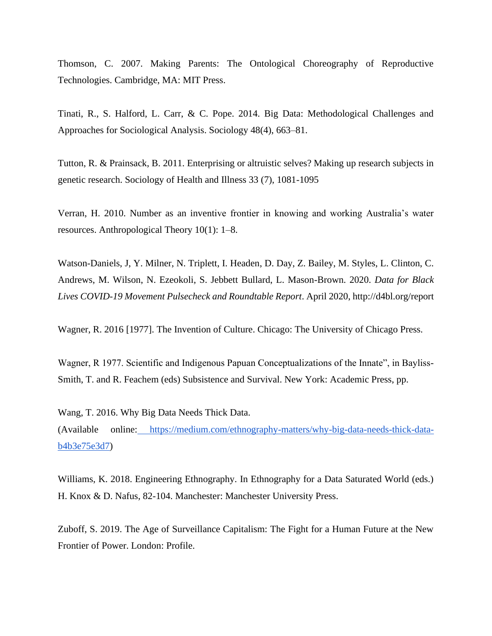Thomson, C. 2007. Making Parents: The Ontological Choreography of Reproductive Technologies. Cambridge, MA: MIT Press.

Tinati, R., S. Halford, L. Carr, & C. Pope. 2014. Big Data: Methodological Challenges and Approaches for Sociological Analysis. Sociology 48(4), 663–81.

Tutton, R. & Prainsack, B. 2011. Enterprising or altruistic selves? Making up research subjects in genetic research. Sociology of Health and Illness 33 (7), 1081-1095

Verran, H. 2010. Number as an inventive frontier in knowing and working Australia's water resources. Anthropological Theory 10(1): 1–8.

Watson-Daniels, J, Y. Milner, N. Triplett, I. Headen, D. Day, Z. Bailey, M. Styles, L. Clinton, C. Andrews, M. Wilson, N. Ezeokoli, S. Jebbett Bullard, L. Mason-Brown. 2020. *Data for Black Lives COVID-19 Movement Pulsecheck and Roundtable Report*. April 2020, http://d4bl.org/report

Wagner, R. 2016 [1977]. The Invention of Culture. Chicago: The University of Chicago Press.

Wagner, R 1977. Scientific and Indigenous Papuan Conceptualizations of the Innate", in Bayliss-Smith, T. and R. Feachem (eds) Subsistence and Survival. New York: Academic Press, pp.

Wang, T. 2016. Why Big Data Needs Thick Data.

(Available online: [https://medium.com/ethnography-matters/why-big-data-needs-thick-data](https://medium.com/ethnography-matters/why-big-data-needs-thick-data-b4b3e75e3d7)[b4b3e75e3d7\)](https://medium.com/ethnography-matters/why-big-data-needs-thick-data-b4b3e75e3d7)

Williams, K. 2018. Engineering Ethnography. In Ethnography for a Data Saturated World (eds.) H. Knox & D. Nafus, 82-104. Manchester: Manchester University Press.

Zuboff, S. 2019. The Age of Surveillance Capitalism: The Fight for a Human Future at the New Frontier of Power. London: Profile.